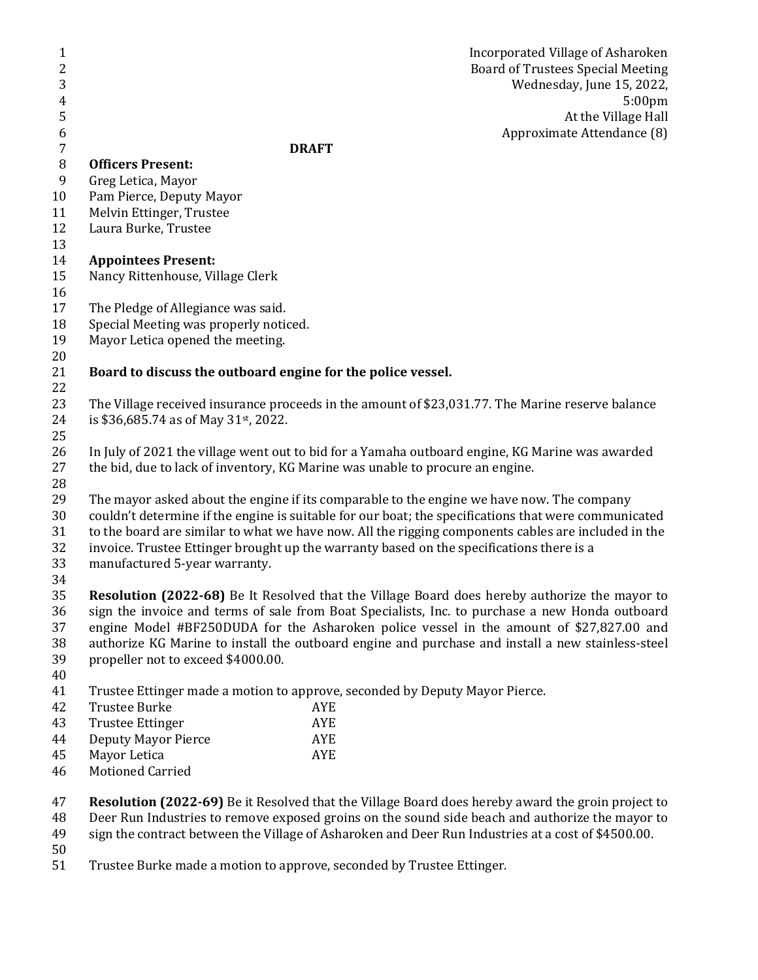| $\mathbf{1}$     | Incorporated Village of Asharoken                                                                    |
|------------------|------------------------------------------------------------------------------------------------------|
| $\overline{2}$   | Board of Trustees Special Meeting                                                                    |
| 3                | Wednesday, June 15, 2022,                                                                            |
| 4                | 5:00 <sub>pm</sub>                                                                                   |
| 5                | At the Village Hall                                                                                  |
| 6                | Approximate Attendance (8)                                                                           |
| $\boldsymbol{7}$ | <b>DRAFT</b>                                                                                         |
| $\, 8$           | <b>Officers Present:</b>                                                                             |
| $\boldsymbol{9}$ | Greg Letica, Mayor                                                                                   |
| 10               | Pam Pierce, Deputy Mayor                                                                             |
| 11               | Melvin Ettinger, Trustee                                                                             |
| 12               | Laura Burke, Trustee                                                                                 |
| 13               |                                                                                                      |
| 14               | <b>Appointees Present:</b>                                                                           |
| 15               | Nancy Rittenhouse, Village Clerk                                                                     |
| 16               |                                                                                                      |
| 17               | The Pledge of Allegiance was said.                                                                   |
| 18               | Special Meeting was properly noticed.                                                                |
| 19               | Mayor Letica opened the meeting.                                                                     |
| 20               |                                                                                                      |
| 21               | Board to discuss the outboard engine for the police vessel.                                          |
| 22               |                                                                                                      |
| 23               | The Village received insurance proceeds in the amount of \$23,031.77. The Marine reserve balance     |
| 24               | is \$36,685.74 as of May 31st, 2022.                                                                 |
| 25               |                                                                                                      |
| 26               | In July of 2021 the village went out to bid for a Yamaha outboard engine, KG Marine was awarded      |
| 27               | the bid, due to lack of inventory, KG Marine was unable to procure an engine.                        |
| 28               |                                                                                                      |
| 29               | The mayor asked about the engine if its comparable to the engine we have now. The company            |
| 30               | couldn't determine if the engine is suitable for our boat; the specifications that were communicated |
| 31               | to the board are similar to what we have now. All the rigging components cables are included in the  |
| 32               | invoice. Trustee Ettinger brought up the warranty based on the specifications there is a             |
| 33               | manufactured 5-year warranty.                                                                        |
| 34               |                                                                                                      |
| 35               | Resolution (2022-68) Be It Resolved that the Village Board does hereby authorize the mayor to        |
| 36               | sign the invoice and terms of sale from Boat Specialists, Inc. to purchase a new Honda outboard      |
| 37               | engine Model #BF250DUDA for the Asharoken police vessel in the amount of \$27,827.00 and             |
| 38               | authorize KG Marine to install the outboard engine and purchase and install a new stainless-steel    |
| 39<br>40         | propeller not to exceed \$4000.00.                                                                   |
| 41               | Trustee Ettinger made a motion to approve, seconded by Deputy Mayor Pierce.                          |
| 42               | <b>Trustee Burke</b><br>AYE                                                                          |
| 43               | <b>Trustee Ettinger</b><br>AYE                                                                       |
| 44               | <b>Deputy Mayor Pierce</b><br>AYE                                                                    |
| 45               | Mayor Letica<br>AYE                                                                                  |
| 46               | <b>Motioned Carried</b>                                                                              |
|                  |                                                                                                      |
| 47               | Resolution (2022-69) Be it Resolved that the Village Board does hereby award the groin project to    |
| 48               | Deer Run Industries to remove exposed groins on the sound side beach and authorize the mayor to      |

sign the contract between the Village of Asharoken and Deer Run Industries at a cost of \$4500.00.

 $\frac{50}{51}$ 

Trustee Burke made a motion to approve, seconded by Trustee Ettinger.